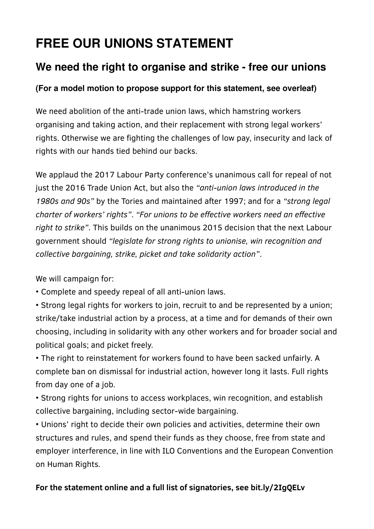# **FREE OUR UNIONS STATEMENT**

## **We need the right to organise and strike - free our unions**

### **(For a model motion to propose support for this statement, see overleaf)**

We need abolition of the anti-trade union laws, which hamstring workers organising and taking action, and their replacement with strong legal workers' rights. Otherwise we are fighting the challenges of low pay, insecurity and lack of rights with our hands tied behind our backs.

We applaud the 2017 Labour Party conference's unanimous call for repeal of not just the 2016 Trade Union Act, but also the *"anti-union laws introduced in the 1980s and 90s"* by the Tories and maintained after 1997; and for a *"strong legal charter of workers' rights"*. *"For unions to be effective workers need an effective right to strike"*. This builds on the unanimous 2015 decision that the next Labour government should *"legislate for strong rights to unionise, win recognition and collective bargaining, strike, picket and take solidarity action"*.

We will campaign for:

• Complete and speedy repeal of all anti-union laws.

• Strong legal rights for workers to join, recruit to and be represented by a union; strike/take industrial action by a process, at a time and for demands of their own choosing, including in solidarity with any other workers and for broader social and political goals; and picket freely.

• The right to reinstatement for workers found to have been sacked unfairly. A complete ban on dismissal for industrial action, however long it lasts. Full rights from day one of a job.

• Strong rights for unions to access workplaces, win recognition, and establish collective bargaining, including sector-wide bargaining.

• Unions' right to decide their own policies and activities, determine their own structures and rules, and spend their funds as they choose, free from state and employer interference, in line with ILO Conventions and the European Convention on Human Rights.

### **For the statement online and a full list of signatories, see bit.ly/2IgQELv**